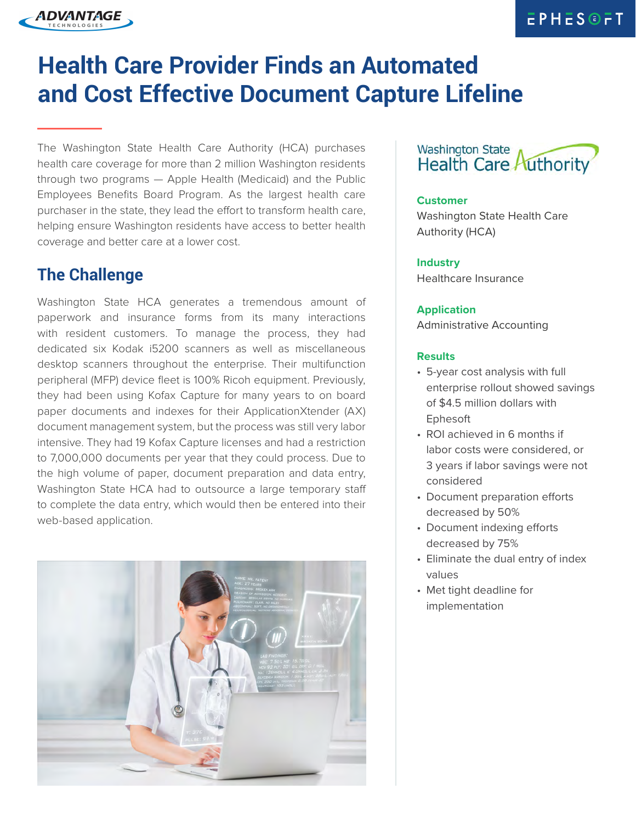## **EPHESOFT**

## **Health Care Provider Finds an Automated and Cost Effective Document Capture Lifeline**

The Washington State Health Care Authority (HCA) purchases health care coverage for more than 2 million Washington residents through two programs — Apple Health (Medicaid) and the Public Employees Benefits Board Program. As the largest health care purchaser in the state, they lead the effort to transform health care, helping ensure Washington residents have access to better health coverage and better care at a lower cost.

## **The Challenge**

ADVANTAGE

Washington State HCA generates a tremendous amount of paperwork and insurance forms from its many interactions with resident customers. To manage the process, they had dedicated six Kodak i5200 scanners as well as miscellaneous desktop scanners throughout the enterprise. Their multifunction peripheral (MFP) device fleet is 100% Ricoh equipment. Previously, they had been using Kofax Capture for many years to on board paper documents and indexes for their ApplicationXtender (AX) document management system, but the process was still very labor intensive. They had 19 Kofax Capture licenses and had a restriction to 7,000,000 documents per year that they could process. Due to the high volume of paper, document preparation and data entry, Washington State HCA had to outsource a large temporary staff to complete the data entry, which would then be entered into their web-based application.



### **Washington State Health Care Authority**

#### **Customer**

Washington State Health Care Authority (HCA)

#### **Industry**

Healthcare Insurance

#### **Application**

Administrative Accounting

#### **Results**

- 5-year cost analysis with full enterprise rollout showed savings of \$4.5 million dollars with Ephesoft
- ROI achieved in 6 months if labor costs were considered, or 3 years if labor savings were not considered
- Document preparation efforts decreased by 50%
- Document indexing efforts decreased by 75%
- Eliminate the dual entry of index values
- Met tight deadline for implementation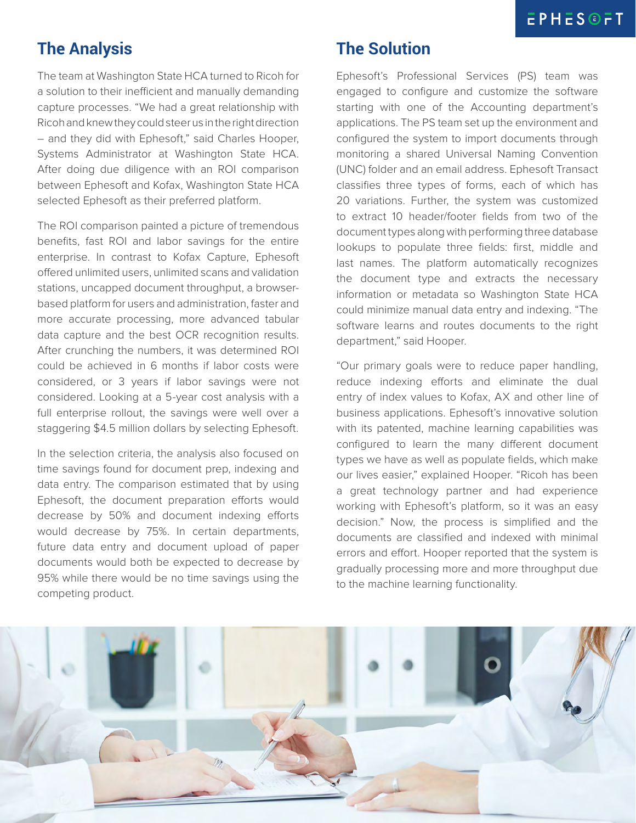## **The Analysis**

The team at Washington State HCA turned to Ricoh for a solution to their inefficient and manually demanding capture processes. "We had a great relationship with Ricoh and knew they could steer us in the right direction – and they did with Ephesoft," said Charles Hooper, Systems Administrator at Washington State HCA. After doing due diligence with an ROI comparison between Ephesoft and Kofax, Washington State HCA selected Ephesoft as their preferred platform.

The ROI comparison painted a picture of tremendous benefits, fast ROI and labor savings for the entire enterprise. In contrast to Kofax Capture, Ephesoft offered unlimited users, unlimited scans and validation stations, uncapped document throughput, a browserbased platform for users and administration, faster and more accurate processing, more advanced tabular data capture and the best OCR recognition results. After crunching the numbers, it was determined ROI could be achieved in 6 months if labor costs were considered, or 3 years if labor savings were not considered. Looking at a 5-year cost analysis with a full enterprise rollout, the savings were well over a staggering \$4.5 million dollars by selecting Ephesoft.

In the selection criteria, the analysis also focused on time savings found for document prep, indexing and data entry. The comparison estimated that by using Ephesoft, the document preparation efforts would decrease by 50% and document indexing efforts would decrease by 75%. In certain departments, future data entry and document upload of paper documents would both be expected to decrease by 95% while there would be no time savings using the competing product.

## **The Solution**

Ephesoft's Professional Services (PS) team was engaged to configure and customize the software starting with one of the Accounting department's applications. The PS team set up the environment and configured the system to import documents through monitoring a shared Universal Naming Convention (UNC) folder and an email address. Ephesoft Transact classifies three types of forms, each of which has 20 variations. Further, the system was customized to extract 10 header/footer fields from two of the document types along with performing three database lookups to populate three fields: first, middle and last names. The platform automatically recognizes the document type and extracts the necessary information or metadata so Washington State HCA could minimize manual data entry and indexing. "The software learns and routes documents to the right department," said Hooper.

"Our primary goals were to reduce paper handling, reduce indexing efforts and eliminate the dual entry of index values to Kofax, AX and other line of business applications. Ephesoft's innovative solution with its patented, machine learning capabilities was configured to learn the many different document types we have as well as populate fields, which make our lives easier," explained Hooper. "Ricoh has been a great technology partner and had experience working with Ephesoft's platform, so it was an easy decision." Now, the process is simplified and the documents are classified and indexed with minimal errors and effort. Hooper reported that the system is gradually processing more and more throughput due to the machine learning functionality.